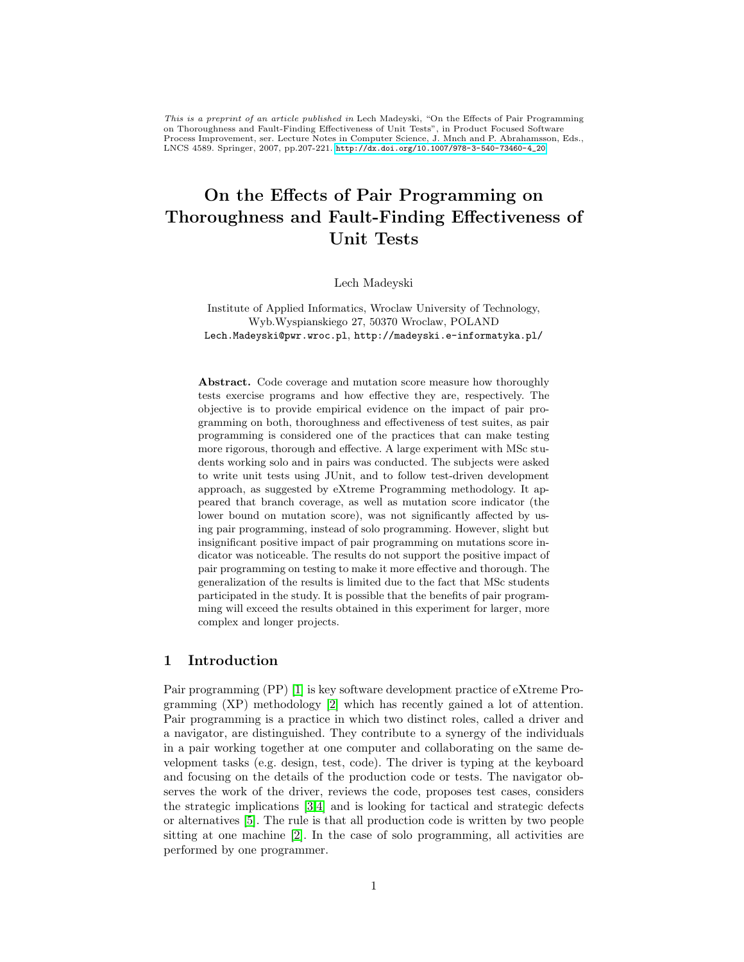This is a preprint of an article published in Lech Madeyski, "On the Effects of Pair Programming on Thoroughness and Fault-Finding Effectiveness of Unit Tests", in Product Focused Software Process Improvement, ser. Lecture Notes in Computer Science, J. Mnch and P. Abrahamsson, Eds., LNCS 4589. Springer, 2007, pp.207-221. [http://dx.doi.org/10.1007/978-3-540-73460-4\\_20](http://dx.doi.org/10.1007/978-3-540-73460-4_20)

# On the Effects of Pair Programming on Thoroughness and Fault-Finding Effectiveness of Unit Tests

Lech Madeyski

Institute of Applied Informatics, Wroclaw University of Technology, Wyb.Wyspianskiego 27, 50370 Wroclaw, POLAND Lech.Madeyski@pwr.wroc.pl, http://madeyski.e-informatyka.pl/

Abstract. Code coverage and mutation score measure how thoroughly tests exercise programs and how effective they are, respectively. The objective is to provide empirical evidence on the impact of pair programming on both, thoroughness and effectiveness of test suites, as pair programming is considered one of the practices that can make testing more rigorous, thorough and effective. A large experiment with MSc students working solo and in pairs was conducted. The subjects were asked to write unit tests using JUnit, and to follow test-driven development approach, as suggested by eXtreme Programming methodology. It appeared that branch coverage, as well as mutation score indicator (the lower bound on mutation score), was not significantly affected by using pair programming, instead of solo programming. However, slight but insignificant positive impact of pair programming on mutations score indicator was noticeable. The results do not support the positive impact of pair programming on testing to make it more effective and thorough. The generalization of the results is limited due to the fact that MSc students participated in the study. It is possible that the benefits of pair programming will exceed the results obtained in this experiment for larger, more complex and longer projects.

# 1 Introduction

Pair programming (PP) [\[1\]](#page-12-0) is key software development practice of eXtreme Programming (XP) methodology [\[2\]](#page-12-1) which has recently gained a lot of attention. Pair programming is a practice in which two distinct roles, called a driver and a navigator, are distinguished. They contribute to a synergy of the individuals in a pair working together at one computer and collaborating on the same development tasks (e.g. design, test, code). The driver is typing at the keyboard and focusing on the details of the production code or tests. The navigator observes the work of the driver, reviews the code, proposes test cases, considers the strategic implications [\[3,](#page-12-2)[4\]](#page-12-3) and is looking for tactical and strategic defects or alternatives [\[5\]](#page-12-4). The rule is that all production code is written by two people sitting at one machine [\[2\]](#page-12-1). In the case of solo programming, all activities are performed by one programmer.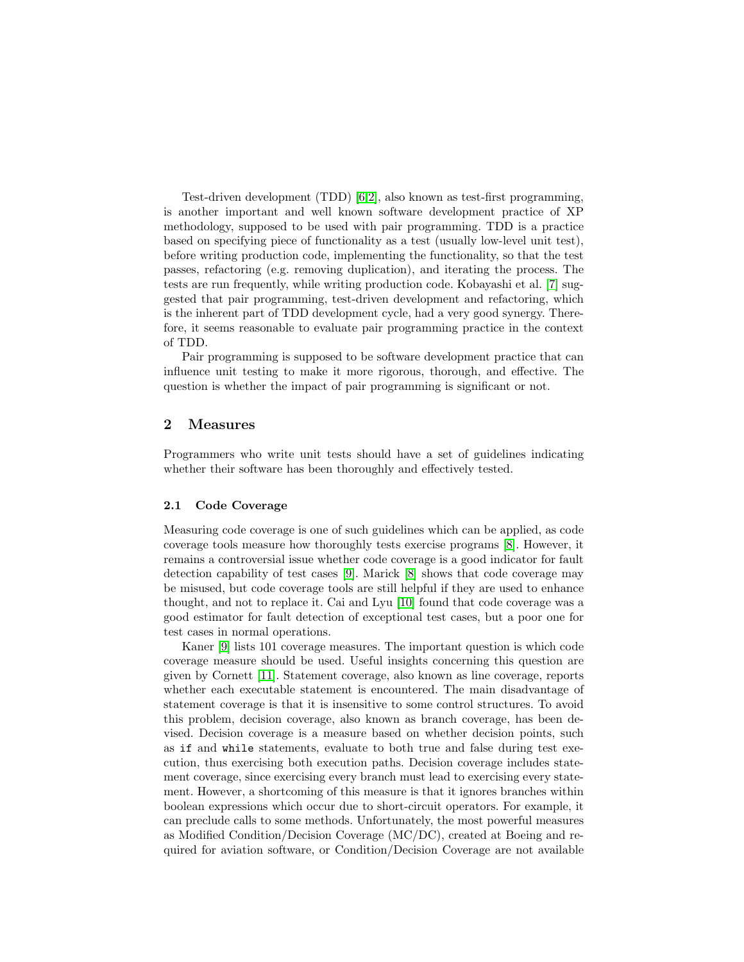Test-driven development (TDD) [\[6](#page-12-5)[,2\]](#page-12-1), also known as test-first programming, is another important and well known software development practice of XP methodology, supposed to be used with pair programming. TDD is a practice based on specifying piece of functionality as a test (usually low-level unit test), before writing production code, implementing the functionality, so that the test passes, refactoring (e.g. removing duplication), and iterating the process. The tests are run frequently, while writing production code. Kobayashi et al. [\[7\]](#page-12-6) suggested that pair programming, test-driven development and refactoring, which is the inherent part of TDD development cycle, had a very good synergy. Therefore, it seems reasonable to evaluate pair programming practice in the context of TDD.

Pair programming is supposed to be software development practice that can influence unit testing to make it more rigorous, thorough, and effective. The question is whether the impact of pair programming is significant or not.

# <span id="page-1-0"></span>2 Measures

Programmers who write unit tests should have a set of guidelines indicating whether their software has been thoroughly and effectively tested.

#### 2.1 Code Coverage

Measuring code coverage is one of such guidelines which can be applied, as code coverage tools measure how thoroughly tests exercise programs [\[8\]](#page-12-7). However, it remains a controversial issue whether code coverage is a good indicator for fault detection capability of test cases [\[9\]](#page-12-8). Marick [\[8\]](#page-12-7) shows that code coverage may be misused, but code coverage tools are still helpful if they are used to enhance thought, and not to replace it. Cai and Lyu [\[10\]](#page-13-0) found that code coverage was a good estimator for fault detection of exceptional test cases, but a poor one for test cases in normal operations.

Kaner [\[9\]](#page-12-8) lists 101 coverage measures. The important question is which code coverage measure should be used. Useful insights concerning this question are given by Cornett [\[11\]](#page-13-1). Statement coverage, also known as line coverage, reports whether each executable statement is encountered. The main disadvantage of statement coverage is that it is insensitive to some control structures. To avoid this problem, decision coverage, also known as branch coverage, has been devised. Decision coverage is a measure based on whether decision points, such as if and while statements, evaluate to both true and false during test execution, thus exercising both execution paths. Decision coverage includes statement coverage, since exercising every branch must lead to exercising every statement. However, a shortcoming of this measure is that it ignores branches within boolean expressions which occur due to short-circuit operators. For example, it can preclude calls to some methods. Unfortunately, the most powerful measures as Modified Condition/Decision Coverage (MC/DC), created at Boeing and required for aviation software, or Condition/Decision Coverage are not available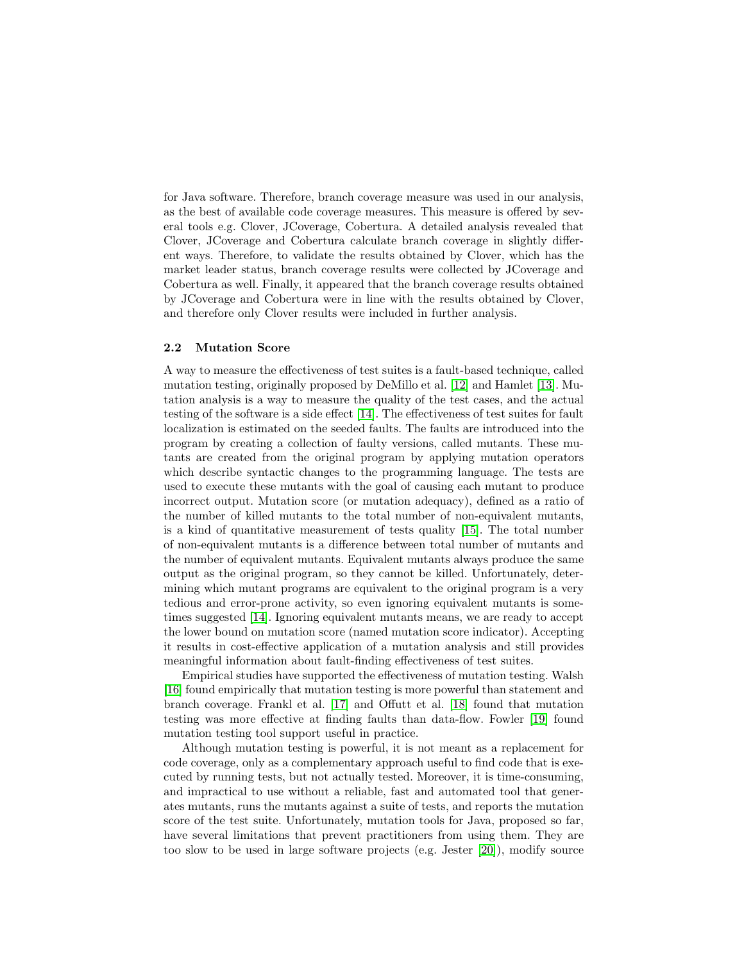for Java software. Therefore, branch coverage measure was used in our analysis, as the best of available code coverage measures. This measure is offered by several tools e.g. Clover, JCoverage, Cobertura. A detailed analysis revealed that Clover, JCoverage and Cobertura calculate branch coverage in slightly different ways. Therefore, to validate the results obtained by Clover, which has the market leader status, branch coverage results were collected by JCoverage and Cobertura as well. Finally, it appeared that the branch coverage results obtained by JCoverage and Cobertura were in line with the results obtained by Clover, and therefore only Clover results were included in further analysis.

#### 2.2 Mutation Score

A way to measure the effectiveness of test suites is a fault-based technique, called mutation testing, originally proposed by DeMillo et al. [\[12\]](#page-13-2) and Hamlet [\[13\]](#page-13-3). Mutation analysis is a way to measure the quality of the test cases, and the actual testing of the software is a side effect [\[14\]](#page-13-4). The effectiveness of test suites for fault localization is estimated on the seeded faults. The faults are introduced into the program by creating a collection of faulty versions, called mutants. These mutants are created from the original program by applying mutation operators which describe syntactic changes to the programming language. The tests are used to execute these mutants with the goal of causing each mutant to produce incorrect output. Mutation score (or mutation adequacy), defined as a ratio of the number of killed mutants to the total number of non-equivalent mutants, is a kind of quantitative measurement of tests quality [\[15\]](#page-13-5). The total number of non-equivalent mutants is a difference between total number of mutants and the number of equivalent mutants. Equivalent mutants always produce the same output as the original program, so they cannot be killed. Unfortunately, determining which mutant programs are equivalent to the original program is a very tedious and error-prone activity, so even ignoring equivalent mutants is sometimes suggested [\[14\]](#page-13-4). Ignoring equivalent mutants means, we are ready to accept the lower bound on mutation score (named mutation score indicator). Accepting it results in cost-effective application of a mutation analysis and still provides meaningful information about fault-finding effectiveness of test suites.

Empirical studies have supported the effectiveness of mutation testing. Walsh [\[16\]](#page-13-6) found empirically that mutation testing is more powerful than statement and branch coverage. Frankl et al. [\[17\]](#page-13-7) and Offutt et al. [\[18\]](#page-13-8) found that mutation testing was more effective at finding faults than data-flow. Fowler [\[19\]](#page-13-9) found mutation testing tool support useful in practice.

Although mutation testing is powerful, it is not meant as a replacement for code coverage, only as a complementary approach useful to find code that is executed by running tests, but not actually tested. Moreover, it is time-consuming, and impractical to use without a reliable, fast and automated tool that generates mutants, runs the mutants against a suite of tests, and reports the mutation score of the test suite. Unfortunately, mutation tools for Java, proposed so far, have several limitations that prevent practitioners from using them. They are too slow to be used in large software projects (e.g. Jester [\[20\]](#page-13-10)), modify source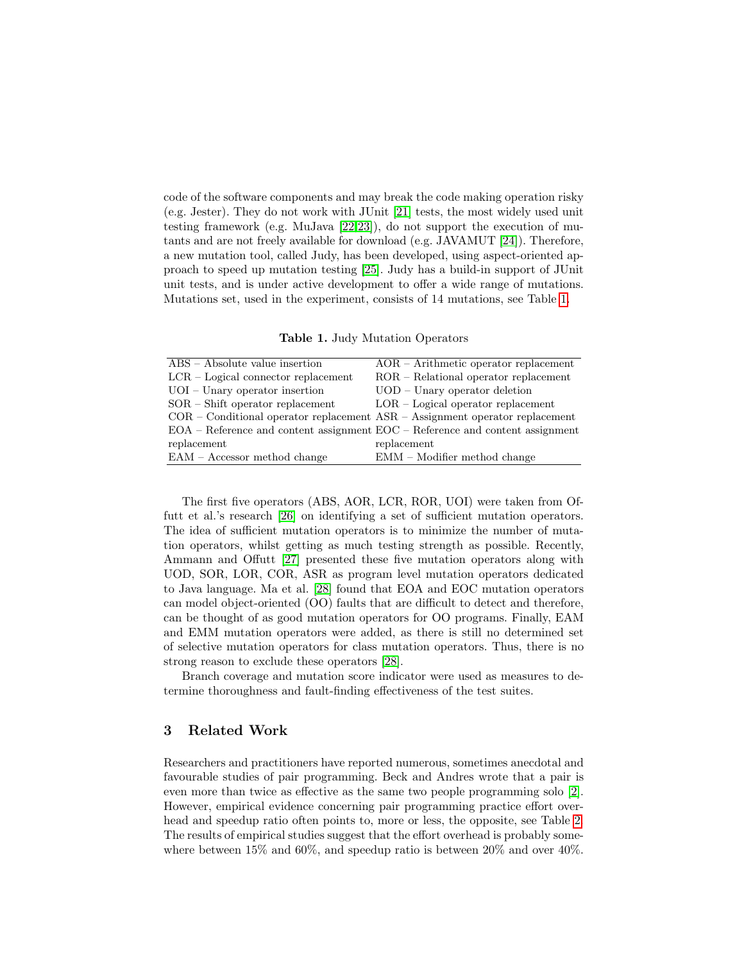code of the software components and may break the code making operation risky (e.g. Jester). They do not work with JUnit [\[21\]](#page-13-11) tests, the most widely used unit testing framework (e.g. MuJava [\[22,](#page-13-12)[23\]](#page-13-13)), do not support the execution of mutants and are not freely available for download (e.g. JAVAMUT [\[24\]](#page-13-14)). Therefore, a new mutation tool, called Judy, has been developed, using aspect-oriented approach to speed up mutation testing [\[25\]](#page-13-15). Judy has a build-in support of JUnit unit tests, and is under active development to offer a wide range of mutations. Mutations set, used in the experiment, consists of 14 mutations, see Table [1.](#page-3-0)

<span id="page-3-0"></span>Table 1. Judy Mutation Operators

| $\text{ABS}$ – Absolute value insertion | $AOR - Arithmetic operator replacement$                                           |
|-----------------------------------------|-----------------------------------------------------------------------------------|
| $LCR - Logical connector replacement$   | $ROR - Relational operator replacement$                                           |
| $UOI - Unary operator insertion$        | $UOD - Unary operator deletion$                                                   |
| $SOR - Shift operator replacement$      | $LOR - Logical operator replacement$                                              |
|                                         | $COR$ – Conditional operator replacement ASR – Assignment operator replacement    |
|                                         | $EOA - Reference$ and content assignment $EOC - Reference$ and content assignment |
| replacement                             | replacement                                                                       |
| $EAM - Accessor$ method change          | $EMM - Modifier method change$                                                    |

The first five operators (ABS, AOR, LCR, ROR, UOI) were taken from Offutt et al.'s research [\[26\]](#page-13-16) on identifying a set of sufficient mutation operators. The idea of sufficient mutation operators is to minimize the number of mutation operators, whilst getting as much testing strength as possible. Recently, Ammann and Offutt [\[27\]](#page-13-17) presented these five mutation operators along with UOD, SOR, LOR, COR, ASR as program level mutation operators dedicated to Java language. Ma et al. [\[28\]](#page-13-18) found that EOA and EOC mutation operators can model object-oriented (OO) faults that are difficult to detect and therefore, can be thought of as good mutation operators for OO programs. Finally, EAM and EMM mutation operators were added, as there is still no determined set of selective mutation operators for class mutation operators. Thus, there is no strong reason to exclude these operators [\[28\]](#page-13-18).

Branch coverage and mutation score indicator were used as measures to determine thoroughness and fault-finding effectiveness of the test suites.

# 3 Related Work

Researchers and practitioners have reported numerous, sometimes anecdotal and favourable studies of pair programming. Beck and Andres wrote that a pair is even more than twice as effective as the same two people programming solo [\[2\]](#page-12-1). However, empirical evidence concerning pair programming practice effort overhead and speedup ratio often points to, more or less, the opposite, see Table [2.](#page-4-0) The results of empirical studies suggest that the effort overhead is probably somewhere between 15% and 60%, and speedup ratio is between 20% and over 40%.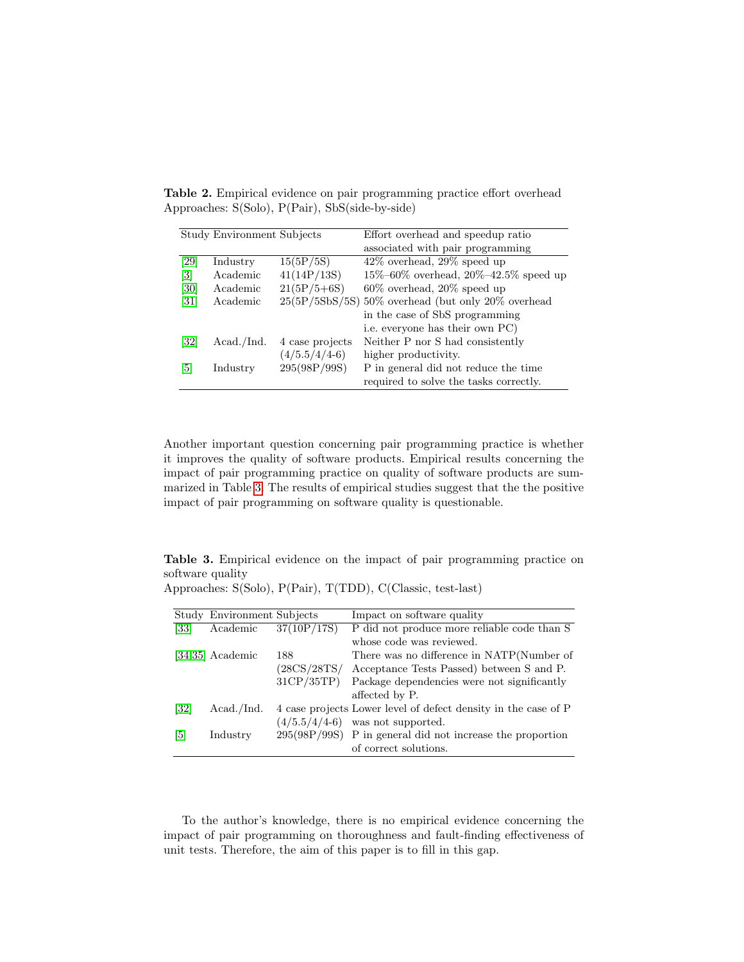|                                                                                                                                                                                       | <b>Study Environment Subjects</b> |                 | Effort overhead and speedup ratio                    |
|---------------------------------------------------------------------------------------------------------------------------------------------------------------------------------------|-----------------------------------|-----------------|------------------------------------------------------|
|                                                                                                                                                                                       |                                   |                 | associated with pair programming                     |
| $\left[ 29\right]$                                                                                                                                                                    | Industry                          | 15(5P/5S)       | $42\%$ overhead, $29\%$ speed up                     |
| $[3] % \includegraphics[width=0.9\columnwidth]{figures/fig_0_2.pdf} \caption{Schematic diagram of the top of the top of the top of the top of the top of the right.} \label{fig:2} %$ | Academic                          | 41(14P/13S)     | $15\% - 60\%$ overhead, $20\% - 42.5\%$ speed up     |
| [30]                                                                                                                                                                                  | Academic                          | $21(5P/5+6S)$   | $60\%$ overhead, $20\%$ speed up                     |
| 31                                                                                                                                                                                    | Academic                          |                 | $25(5P/5SbS/5S)$ 50% overhead (but only 20% overhead |
|                                                                                                                                                                                       |                                   |                 | in the case of SbS programming                       |
|                                                                                                                                                                                       |                                   |                 | i.e. everyone has their own PC)                      |
| [32]                                                                                                                                                                                  | Acad./Ind.                        | 4 case projects | Neither P nor S had consistently                     |
|                                                                                                                                                                                       |                                   | $(4/5.5/4/4-6)$ | higher productivity.                                 |
| [5]                                                                                                                                                                                   | Industry                          | 295(98P/99S)    | P in general did not reduce the time                 |
|                                                                                                                                                                                       |                                   |                 | required to solve the tasks correctly.               |

<span id="page-4-0"></span>Table 2. Empirical evidence on pair programming practice effort overhead Approaches: S(Solo), P(Pair), SbS(side-by-side)

Another important question concerning pair programming practice is whether it improves the quality of software products. Empirical results concerning the impact of pair programming practice on quality of software products are summarized in Table [3.](#page-4-1) The results of empirical studies suggest that the the positive impact of pair programming on software quality is questionable.

<span id="page-4-1"></span>Table 3. Empirical evidence on the impact of pair programming practice on software quality

| Approaches: S(Solo), P(Pair), T(TDD), C(Classic, test-last) |  |  |  |  |
|-------------------------------------------------------------|--|--|--|--|
|-------------------------------------------------------------|--|--|--|--|

|                   | Study Environment Subjects |                      | Impact on software quality                                     |
|-------------------|----------------------------|----------------------|----------------------------------------------------------------|
| $\left[33\right]$ | Academic                   | $\sqrt{37(10P/17S)}$ | P did not produce more reliable code than S                    |
|                   |                            |                      | whose code was reviewed.                                       |
|                   | $ 34,35 $ Academic         | 188                  | There was no difference in NATP(Number of                      |
|                   |                            | (28CS/28TS/          | Acceptance Tests Passed) between S and P.                      |
|                   |                            | 31CP/35TP            | Package dependencies were not significantly                    |
|                   |                            |                      | affected by P.                                                 |
| [32]              | Acad./Ind.                 |                      | 4 case projects Lower level of defect density in the case of P |
|                   |                            |                      | $(4/5.5/4/4-6)$ was not supported.                             |
| [5]               | Industry                   |                      | $295(98P/99S)$ P in general did not increase the proportion    |
|                   |                            |                      | of correct solutions.                                          |

To the author's knowledge, there is no empirical evidence concerning the impact of pair programming on thoroughness and fault-finding effectiveness of unit tests. Therefore, the aim of this paper is to fill in this gap.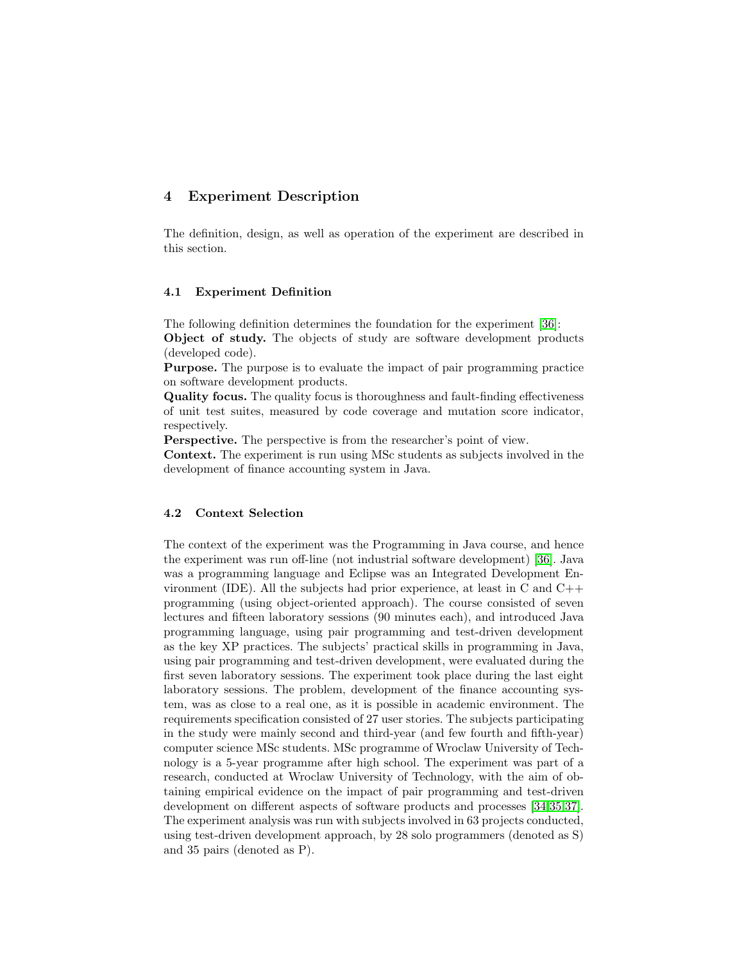# 4 Experiment Description

The definition, design, as well as operation of the experiment are described in this section.

#### 4.1 Experiment Definition

The following definition determines the foundation for the experiment [\[36\]](#page-14-5): Object of study. The objects of study are software development products (developed code).

Purpose. The purpose is to evaluate the impact of pair programming practice on software development products.

Quality focus. The quality focus is thoroughness and fault-finding effectiveness of unit test suites, measured by code coverage and mutation score indicator, respectively.

Perspective. The perspective is from the researcher's point of view.

Context. The experiment is run using MSc students as subjects involved in the development of finance accounting system in Java.

#### 4.2 Context Selection

The context of the experiment was the Programming in Java course, and hence the experiment was run off-line (not industrial software development) [\[36\]](#page-14-5). Java was a programming language and Eclipse was an Integrated Development Environment (IDE). All the subjects had prior experience, at least in C and C++ programming (using object-oriented approach). The course consisted of seven lectures and fifteen laboratory sessions (90 minutes each), and introduced Java programming language, using pair programming and test-driven development as the key XP practices. The subjects' practical skills in programming in Java, using pair programming and test-driven development, were evaluated during the first seven laboratory sessions. The experiment took place during the last eight laboratory sessions. The problem, development of the finance accounting system, was as close to a real one, as it is possible in academic environment. The requirements specification consisted of 27 user stories. The subjects participating in the study were mainly second and third-year (and few fourth and fifth-year) computer science MSc students. MSc programme of Wroclaw University of Technology is a 5-year programme after high school. The experiment was part of a research, conducted at Wroclaw University of Technology, with the aim of obtaining empirical evidence on the impact of pair programming and test-driven development on different aspects of software products and processes [\[34,](#page-14-3)[35](#page-14-4)[,37\]](#page-14-6). The experiment analysis was run with subjects involved in 63 projects conducted, using test-driven development approach, by 28 solo programmers (denoted as S) and 35 pairs (denoted as P).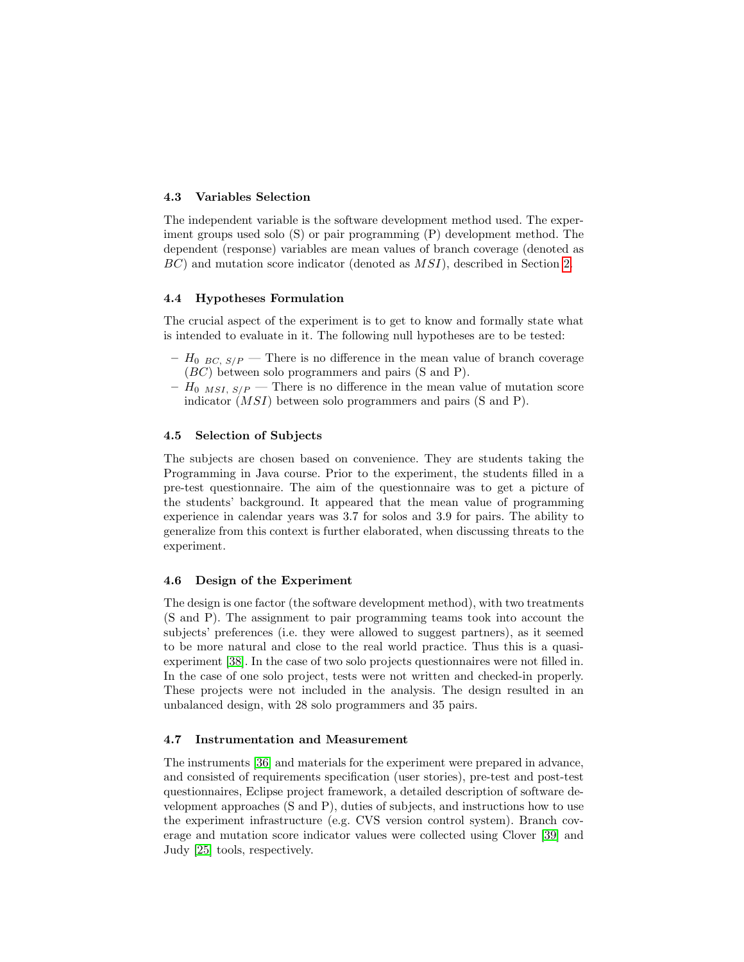#### 4.3 Variables Selection

The independent variable is the software development method used. The experiment groups used solo (S) or pair programming (P) development method. The dependent (response) variables are mean values of branch coverage (denoted as BC) and mutation score indicator (denoted as MSI), described in Section [2.](#page-1-0)

#### <span id="page-6-0"></span>4.4 Hypotheses Formulation

The crucial aspect of the experiment is to get to know and formally state what is intended to evaluate in it. The following null hypotheses are to be tested:

- $H_0$   $_{BC, S/P}$  There is no difference in the mean value of branch coverage (BC) between solo programmers and pairs (S and P).
- $H_0$  MSI,  $S/P$  There is no difference in the mean value of mutation score indicator (MSI) between solo programmers and pairs (S and P).

#### 4.5 Selection of Subjects

The subjects are chosen based on convenience. They are students taking the Programming in Java course. Prior to the experiment, the students filled in a pre-test questionnaire. The aim of the questionnaire was to get a picture of the students' background. It appeared that the mean value of programming experience in calendar years was 3.7 for solos and 3.9 for pairs. The ability to generalize from this context is further elaborated, when discussing threats to the experiment.

#### 4.6 Design of the Experiment

The design is one factor (the software development method), with two treatments (S and P). The assignment to pair programming teams took into account the subjects' preferences (i.e. they were allowed to suggest partners), as it seemed to be more natural and close to the real world practice. Thus this is a quasiexperiment [\[38\]](#page-14-7). In the case of two solo projects questionnaires were not filled in. In the case of one solo project, tests were not written and checked-in properly. These projects were not included in the analysis. The design resulted in an unbalanced design, with 28 solo programmers and 35 pairs.

#### 4.7 Instrumentation and Measurement

The instruments [\[36\]](#page-14-5) and materials for the experiment were prepared in advance, and consisted of requirements specification (user stories), pre-test and post-test questionnaires, Eclipse project framework, a detailed description of software development approaches (S and P), duties of subjects, and instructions how to use the experiment infrastructure (e.g. CVS version control system). Branch coverage and mutation score indicator values were collected using Clover [\[39\]](#page-14-8) and Judy [\[25\]](#page-13-15) tools, respectively.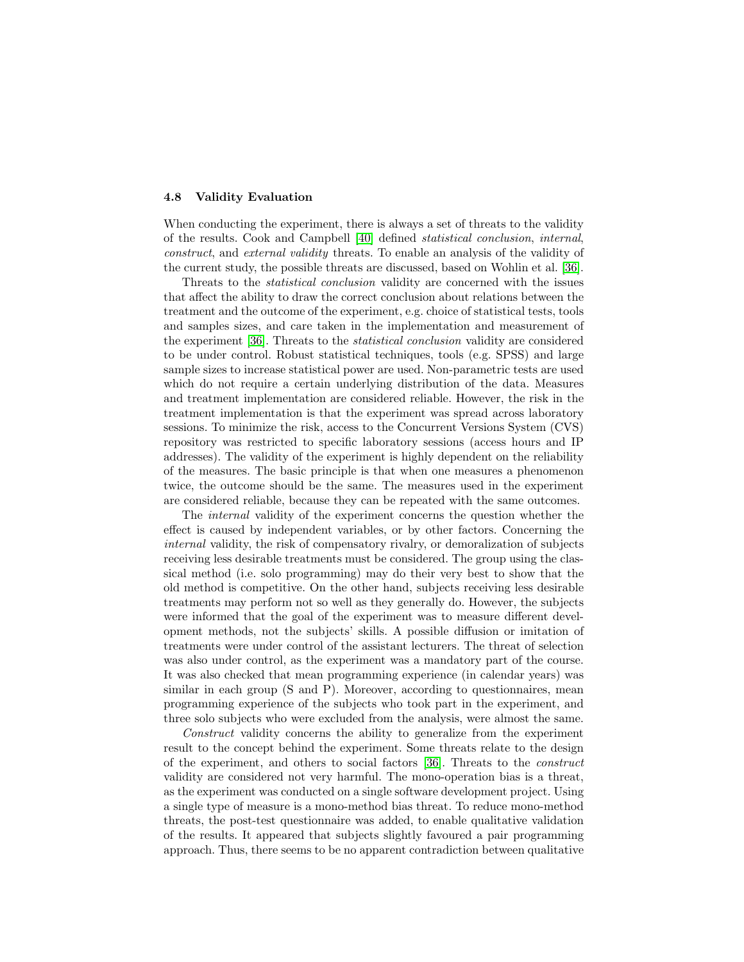#### 4.8 Validity Evaluation

When conducting the experiment, there is always a set of threats to the validity of the results. Cook and Campbell [\[40\]](#page-14-9) defined statistical conclusion, internal, construct, and external validity threats. To enable an analysis of the validity of the current study, the possible threats are discussed, based on Wohlin et al. [\[36\]](#page-14-5).

Threats to the statistical conclusion validity are concerned with the issues that affect the ability to draw the correct conclusion about relations between the treatment and the outcome of the experiment, e.g. choice of statistical tests, tools and samples sizes, and care taken in the implementation and measurement of the experiment [\[36\]](#page-14-5). Threats to the statistical conclusion validity are considered to be under control. Robust statistical techniques, tools (e.g. SPSS) and large sample sizes to increase statistical power are used. Non-parametric tests are used which do not require a certain underlying distribution of the data. Measures and treatment implementation are considered reliable. However, the risk in the treatment implementation is that the experiment was spread across laboratory sessions. To minimize the risk, access to the Concurrent Versions System (CVS) repository was restricted to specific laboratory sessions (access hours and IP addresses). The validity of the experiment is highly dependent on the reliability of the measures. The basic principle is that when one measures a phenomenon twice, the outcome should be the same. The measures used in the experiment are considered reliable, because they can be repeated with the same outcomes.

The internal validity of the experiment concerns the question whether the effect is caused by independent variables, or by other factors. Concerning the internal validity, the risk of compensatory rivalry, or demoralization of subjects receiving less desirable treatments must be considered. The group using the classical method (i.e. solo programming) may do their very best to show that the old method is competitive. On the other hand, subjects receiving less desirable treatments may perform not so well as they generally do. However, the subjects were informed that the goal of the experiment was to measure different development methods, not the subjects' skills. A possible diffusion or imitation of treatments were under control of the assistant lecturers. The threat of selection was also under control, as the experiment was a mandatory part of the course. It was also checked that mean programming experience (in calendar years) was similar in each group (S and P). Moreover, according to questionnaires, mean programming experience of the subjects who took part in the experiment, and three solo subjects who were excluded from the analysis, were almost the same.

Construct validity concerns the ability to generalize from the experiment result to the concept behind the experiment. Some threats relate to the design of the experiment, and others to social factors [\[36\]](#page-14-5). Threats to the construct validity are considered not very harmful. The mono-operation bias is a threat, as the experiment was conducted on a single software development project. Using a single type of measure is a mono-method bias threat. To reduce mono-method threats, the post-test questionnaire was added, to enable qualitative validation of the results. It appeared that subjects slightly favoured a pair programming approach. Thus, there seems to be no apparent contradiction between qualitative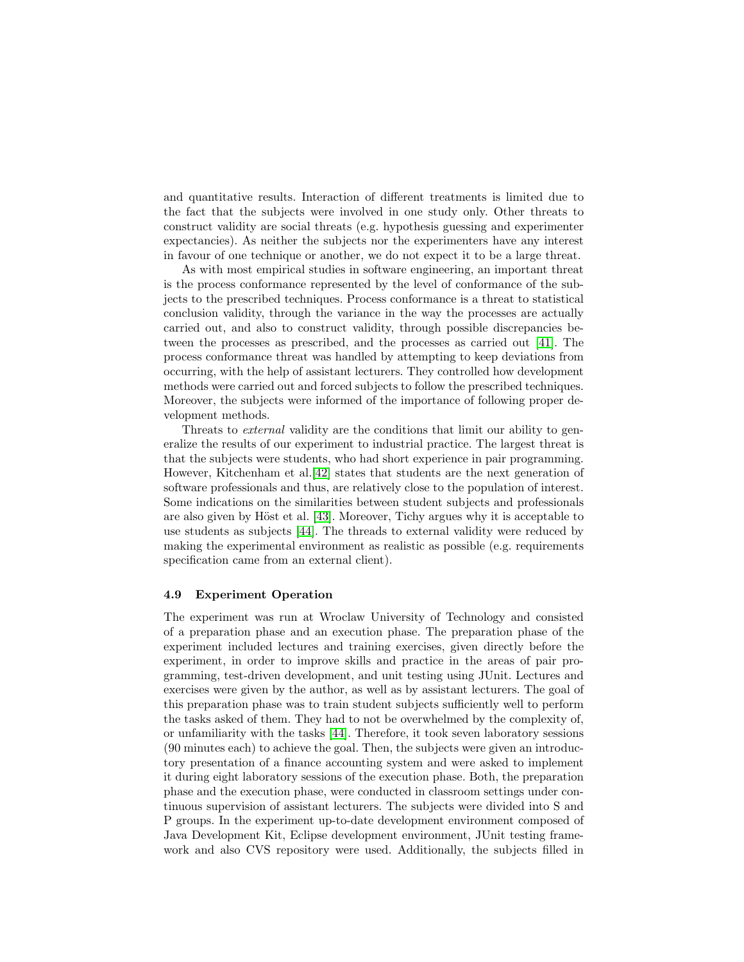and quantitative results. Interaction of different treatments is limited due to the fact that the subjects were involved in one study only. Other threats to construct validity are social threats (e.g. hypothesis guessing and experimenter expectancies). As neither the subjects nor the experimenters have any interest in favour of one technique or another, we do not expect it to be a large threat.

As with most empirical studies in software engineering, an important threat is the process conformance represented by the level of conformance of the subjects to the prescribed techniques. Process conformance is a threat to statistical conclusion validity, through the variance in the way the processes are actually carried out, and also to construct validity, through possible discrepancies between the processes as prescribed, and the processes as carried out [\[41\]](#page-14-10). The process conformance threat was handled by attempting to keep deviations from occurring, with the help of assistant lecturers. They controlled how development methods were carried out and forced subjects to follow the prescribed techniques. Moreover, the subjects were informed of the importance of following proper development methods.

Threats to *external* validity are the conditions that limit our ability to generalize the results of our experiment to industrial practice. The largest threat is that the subjects were students, who had short experience in pair programming. However, Kitchenham et al.[\[42\]](#page-14-11) states that students are the next generation of software professionals and thus, are relatively close to the population of interest. Some indications on the similarities between student subjects and professionals are also given by Höst et al.  $[43]$ . Moreover, Tichy argues why it is acceptable to use students as subjects [\[44\]](#page-14-13). The threads to external validity were reduced by making the experimental environment as realistic as possible (e.g. requirements specification came from an external client).

#### 4.9 Experiment Operation

The experiment was run at Wroclaw University of Technology and consisted of a preparation phase and an execution phase. The preparation phase of the experiment included lectures and training exercises, given directly before the experiment, in order to improve skills and practice in the areas of pair programming, test-driven development, and unit testing using JUnit. Lectures and exercises were given by the author, as well as by assistant lecturers. The goal of this preparation phase was to train student subjects sufficiently well to perform the tasks asked of them. They had to not be overwhelmed by the complexity of, or unfamiliarity with the tasks [\[44\]](#page-14-13). Therefore, it took seven laboratory sessions (90 minutes each) to achieve the goal. Then, the subjects were given an introductory presentation of a finance accounting system and were asked to implement it during eight laboratory sessions of the execution phase. Both, the preparation phase and the execution phase, were conducted in classroom settings under continuous supervision of assistant lecturers. The subjects were divided into S and P groups. In the experiment up-to-date development environment composed of Java Development Kit, Eclipse development environment, JUnit testing framework and also CVS repository were used. Additionally, the subjects filled in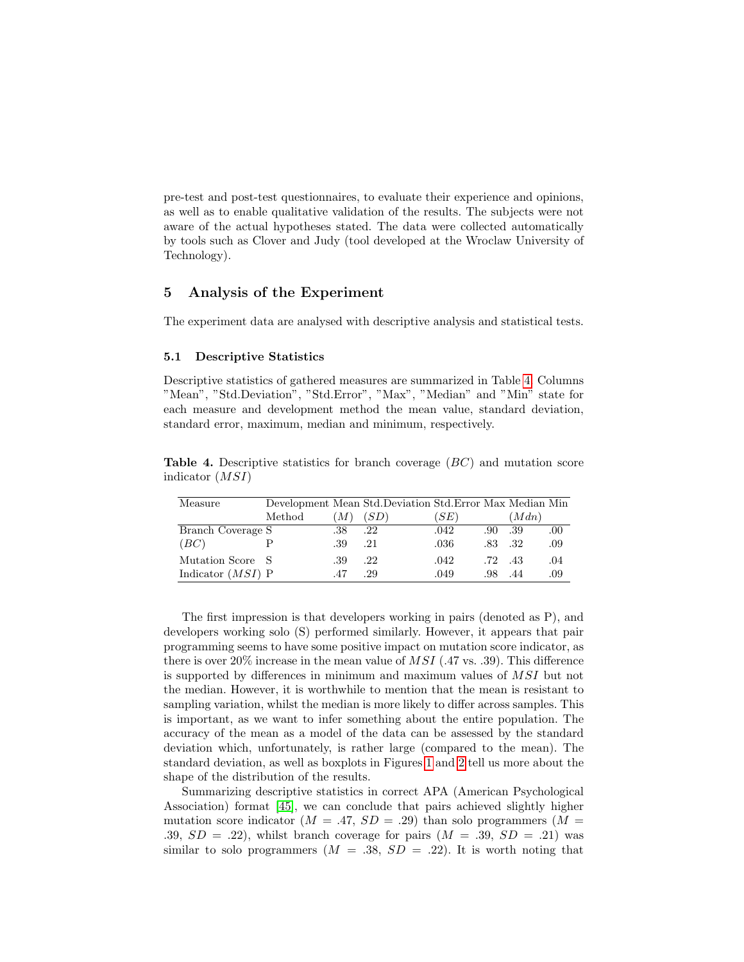pre-test and post-test questionnaires, to evaluate their experience and opinions, as well as to enable qualitative validation of the results. The subjects were not aware of the actual hypotheses stated. The data were collected automatically by tools such as Clover and Judy (tool developed at the Wroclaw University of Technology).

# 5 Analysis of the Experiment

The experiment data are analysed with descriptive analysis and statistical tests.

#### 5.1 Descriptive Statistics

Descriptive statistics of gathered measures are summarized in Table [4.](#page-9-0) Columns "Mean", "Std.Deviation", "Std.Error", "Max", "Median" and "Min" state for each measure and development method the mean value, standard deviation, standard error, maximum, median and minimum, respectively.

<span id="page-9-0"></span>**Table 4.** Descriptive statistics for branch coverage  $(BC)$  and mutation score indicator (MSI)

| Measure             |        |     | Development Mean Std.Deviation Std.Error Max Median Min |      |     |       |     |
|---------------------|--------|-----|---------------------------------------------------------|------|-----|-------|-----|
|                     | Method | M)  | (SD)                                                    | (SE) |     | (Mdn) |     |
| Branch Coverage S   |        | .38 | .22                                                     | .042 | .90 | .39   | .00 |
| (BC)                |        | .39 | .21                                                     | .036 | .83 | .32   | .09 |
| Mutation Score S    |        | .39 | .22                                                     | .042 | -72 | - 43  | .04 |
| Indicator $(MSI)$ P |        | .47 | .29                                                     | .049 | .98 | .44   | .09 |

The first impression is that developers working in pairs (denoted as P), and developers working solo (S) performed similarly. However, it appears that pair programming seems to have some positive impact on mutation score indicator, as there is over  $20\%$  increase in the mean value of  $MSI$  (.47 vs. .39). This difference is supported by differences in minimum and maximum values of MSI but not the median. However, it is worthwhile to mention that the mean is resistant to sampling variation, whilst the median is more likely to differ across samples. This is important, as we want to infer something about the entire population. The accuracy of the mean as a model of the data can be assessed by the standard deviation which, unfortunately, is rather large (compared to the mean). The standard deviation, as well as boxplots in Figures [1](#page-10-0) and [2](#page-10-1) tell us more about the shape of the distribution of the results.

Summarizing descriptive statistics in correct APA (American Psychological Association) format [\[45\]](#page-14-14), we can conclude that pairs achieved slightly higher mutation score indicator ( $M = .47$ ,  $SD = .29$ ) than solo programmers ( $M =$ .39,  $SD = .22$ ), whilst branch coverage for pairs  $(M = .39, SD = .21)$  was similar to solo programmers  $(M = .38, SD = .22)$ . It is worth noting that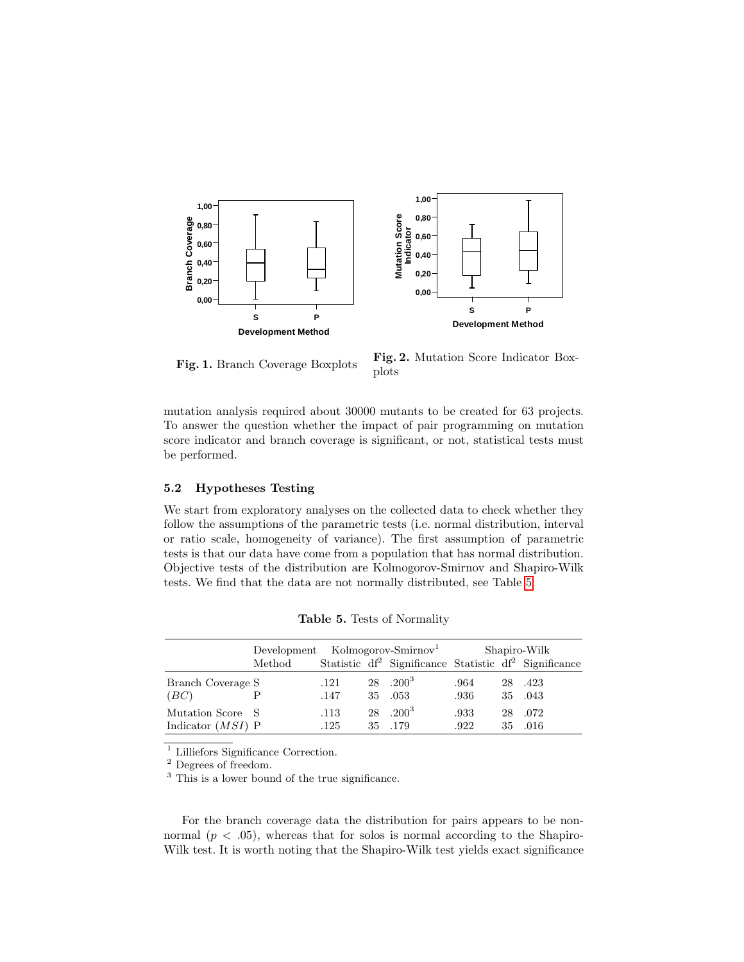

<span id="page-10-0"></span>Fig. 1. Branch Coverage Boxplots

<span id="page-10-1"></span>Fig. 2. Mutation Score Indicator Boxplots

mutation analysis required about 30000 mutants to be created for 63 projects. To answer the question whether the impact of pair programming on mutation score indicator and branch coverage is significant, or not, statistical tests must be performed.

## 5.2 Hypotheses Testing

We start from exploratory analyses on the collected data to check whether they follow the assumptions of the parametric tests (i.e. normal distribution, interval or ratio scale, homogeneity of variance). The first assumption of parametric tests is that our data have come from a population that has normal distribution. Objective tests of the distribution are Kolmogorov-Smirnov and Shapiro-Wilk tests. We find that the data are not normally distributed, see Table [5.](#page-10-2)

|                     | Development Kolmogorov-Smirnov <sup>1</sup> |      |    |                                                             |      |    | Shapiro-Wilk |
|---------------------|---------------------------------------------|------|----|-------------------------------------------------------------|------|----|--------------|
|                     | Method                                      |      |    | Statistic $df^2$ Significance Statistic $df^2$ Significance |      |    |              |
| Branch Coverage S   |                                             | .121 |    | $28 \quad .200^3$                                           | .964 | 28 | .423         |
| (BC)                |                                             | .147 | 35 | .053                                                        | .936 | 35 | .043         |
| Mutation Score S    |                                             | .113 | 28 | $-200^3$                                                    | .933 | 28 | .072         |
| Indicator $(MSI)$ P |                                             | .125 | 35 | .179                                                        | .922 | 35 | .016         |

<span id="page-10-2"></span>Table 5. Tests of Normality

<sup>1</sup> Lilliefors Significance Correction.

<sup>2</sup> Degrees of freedom.

<sup>3</sup> This is a lower bound of the true significance.

For the branch coverage data the distribution for pairs appears to be nonnormal  $(p < .05)$ , whereas that for solos is normal according to the Shapiro-Wilk test. It is worth noting that the Shapiro-Wilk test yields exact significance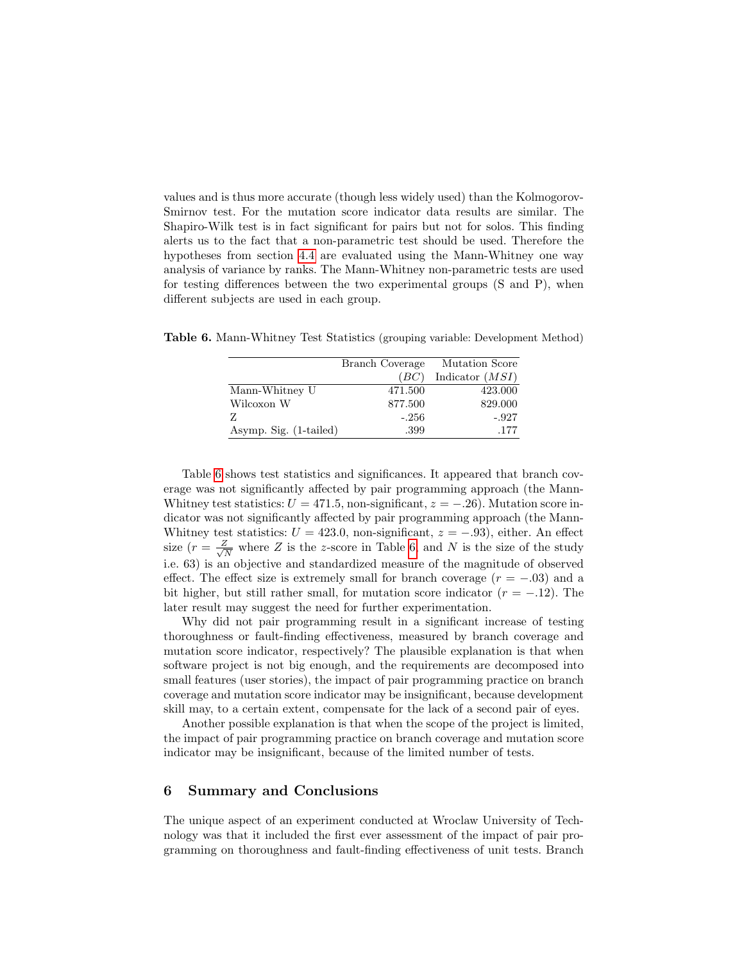values and is thus more accurate (though less widely used) than the Kolmogorov-Smirnov test. For the mutation score indicator data results are similar. The Shapiro-Wilk test is in fact significant for pairs but not for solos. This finding alerts us to the fact that a non-parametric test should be used. Therefore the hypotheses from section [4.4](#page-6-0) are evaluated using the Mann-Whitney one way analysis of variance by ranks. The Mann-Whitney non-parametric tests are used for testing differences between the two experimental groups (S and P), when different subjects are used in each group.

<span id="page-11-0"></span>

|                        | Branch Coverage | Mutation Score    |
|------------------------|-----------------|-------------------|
|                        | (BC)            | Indicator $(MSI)$ |
| Mann-Whitney U         | 471.500         | 423.000           |
| Wilcoxon W             | 877.500         | 829.000           |
| Z                      | $-.256$         | $-.927$           |
| Asymp. Sig. (1-tailed) | .399            | .177              |

Table 6. Mann-Whitney Test Statistics (grouping variable: Development Method)

Table [6](#page-11-0) shows test statistics and significances. It appeared that branch coverage was not significantly affected by pair programming approach (the Mann-Whitney test statistics:  $U = 471.5$ , non-significant,  $z = -.26$ ). Mutation score indicator was not significantly affected by pair programming approach (the Mann-Whitney test statistics:  $U = 423.0$ , non-significant,  $z = -.93$ ), either. An effect size  $(r = \frac{Z}{\sqrt{2}})$  $\frac{Z}{N}$  where Z is the z-score in Table [6,](#page-11-0) and N is the size of the study i.e. 63) is an objective and standardized measure of the magnitude of observed effect. The effect size is extremely small for branch coverage  $(r = -.03)$  and a bit higher, but still rather small, for mutation score indicator  $(r = -0.12)$ . The later result may suggest the need for further experimentation.

Why did not pair programming result in a significant increase of testing thoroughness or fault-finding effectiveness, measured by branch coverage and mutation score indicator, respectively? The plausible explanation is that when software project is not big enough, and the requirements are decomposed into small features (user stories), the impact of pair programming practice on branch coverage and mutation score indicator may be insignificant, because development skill may, to a certain extent, compensate for the lack of a second pair of eyes.

Another possible explanation is that when the scope of the project is limited, the impact of pair programming practice on branch coverage and mutation score indicator may be insignificant, because of the limited number of tests.

# 6 Summary and Conclusions

The unique aspect of an experiment conducted at Wroclaw University of Technology was that it included the first ever assessment of the impact of pair programming on thoroughness and fault-finding effectiveness of unit tests. Branch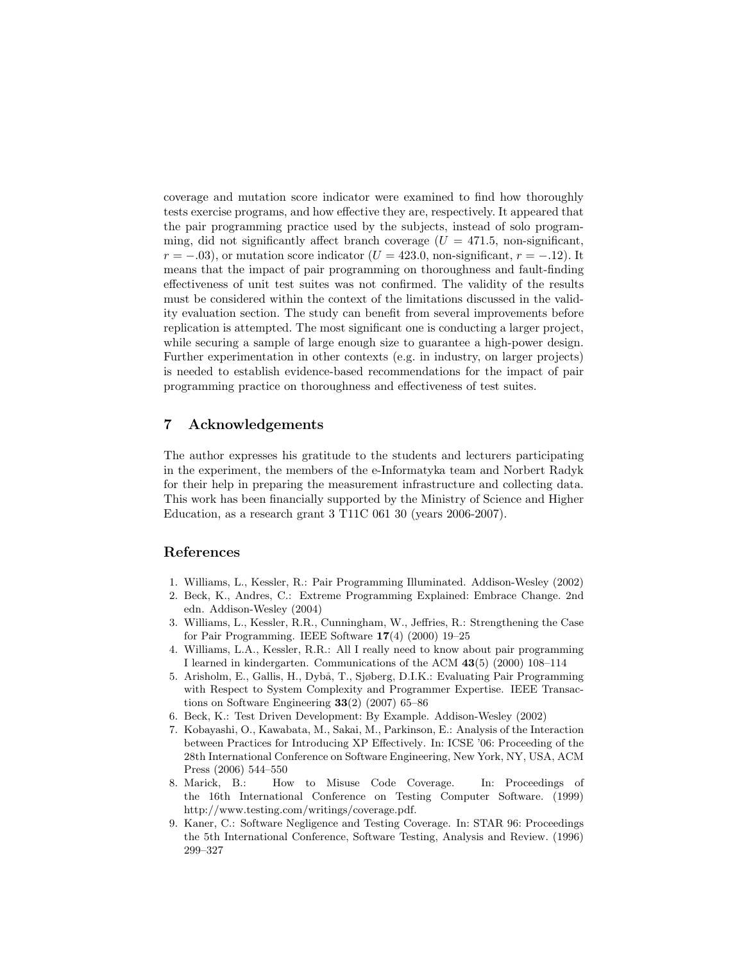coverage and mutation score indicator were examined to find how thoroughly tests exercise programs, and how effective they are, respectively. It appeared that the pair programming practice used by the subjects, instead of solo programming, did not significantly affect branch coverage  $(U = 471.5, \text{ non-significant},$  $r = -.03$ , or mutation score indicator ( $U = 423.0$ , non-significant,  $r = -.12$ ). It means that the impact of pair programming on thoroughness and fault-finding effectiveness of unit test suites was not confirmed. The validity of the results must be considered within the context of the limitations discussed in the validity evaluation section. The study can benefit from several improvements before replication is attempted. The most significant one is conducting a larger project, while securing a sample of large enough size to guarantee a high-power design. Further experimentation in other contexts (e.g. in industry, on larger projects) is needed to establish evidence-based recommendations for the impact of pair programming practice on thoroughness and effectiveness of test suites.

## 7 Acknowledgements

The author expresses his gratitude to the students and lecturers participating in the experiment, the members of the e-Informatyka team and Norbert Radyk for their help in preparing the measurement infrastructure and collecting data. This work has been financially supported by the Ministry of Science and Higher Education, as a research grant 3 T11C 061 30 (years 2006-2007).

# References

- <span id="page-12-0"></span>1. Williams, L., Kessler, R.: Pair Programming Illuminated. Addison-Wesley (2002)
- <span id="page-12-1"></span>2. Beck, K., Andres, C.: Extreme Programming Explained: Embrace Change. 2nd edn. Addison-Wesley (2004)
- <span id="page-12-2"></span>3. Williams, L., Kessler, R.R., Cunningham, W., Jeffries, R.: Strengthening the Case for Pair Programming. IEEE Software 17(4) (2000) 19–25
- <span id="page-12-3"></span>4. Williams, L.A., Kessler, R.R.: All I really need to know about pair programming I learned in kindergarten. Communications of the ACM 43(5) (2000) 108–114
- <span id="page-12-4"></span>5. Arisholm, E., Gallis, H., Dybå, T., Sjøberg, D.I.K.: Evaluating Pair Programming with Respect to System Complexity and Programmer Expertise. IEEE Transactions on Software Engineering 33(2) (2007) 65–86
- <span id="page-12-5"></span>6. Beck, K.: Test Driven Development: By Example. Addison-Wesley (2002)
- <span id="page-12-6"></span>7. Kobayashi, O., Kawabata, M., Sakai, M., Parkinson, E.: Analysis of the Interaction between Practices for Introducing XP Effectively. In: ICSE '06: Proceeding of the 28th International Conference on Software Engineering, New York, NY, USA, ACM Press (2006) 544–550
- <span id="page-12-7"></span>8. Marick, B.: How to Misuse Code Coverage. In: Proceedings of the 16th International Conference on Testing Computer Software. (1999) http://www.testing.com/writings/coverage.pdf.
- <span id="page-12-8"></span>9. Kaner, C.: Software Negligence and Testing Coverage. In: STAR 96: Proceedings the 5th International Conference, Software Testing, Analysis and Review. (1996) 299–327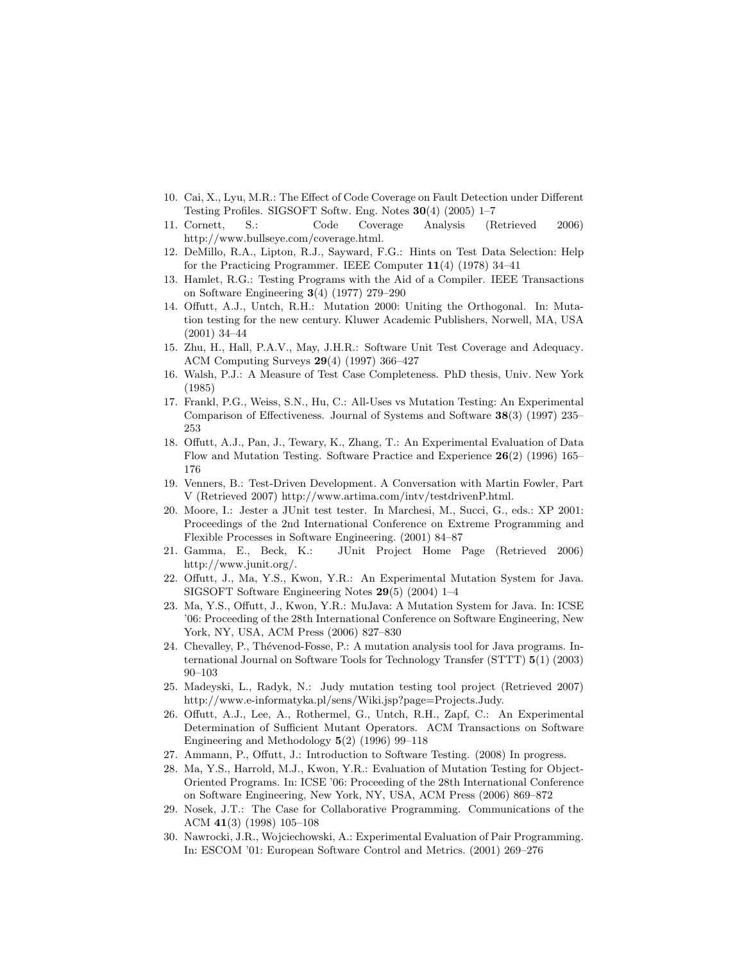- <span id="page-13-0"></span>10. Cai, X., Lyu, M.R.: The Effect of Code Coverage on Fault Detection under Different Testing Profiles. SIGSOFT Softw. Eng. Notes 30(4) (2005) 1–7
- <span id="page-13-1"></span>11. Cornett, S.: Code Coverage Analysis (Retrieved 2006) http://www.bullseye.com/coverage.html.
- <span id="page-13-2"></span>12. DeMillo, R.A., Lipton, R.J., Sayward, F.G.: Hints on Test Data Selection: Help for the Practicing Programmer. IEEE Computer 11(4) (1978) 34–41
- <span id="page-13-3"></span>13. Hamlet, R.G.: Testing Programs with the Aid of a Compiler. IEEE Transactions on Software Engineering 3(4) (1977) 279–290
- <span id="page-13-4"></span>14. Offutt, A.J., Untch, R.H.: Mutation 2000: Uniting the Orthogonal. In: Mutation testing for the new century. Kluwer Academic Publishers, Norwell, MA, USA (2001) 34–44
- <span id="page-13-5"></span>15. Zhu, H., Hall, P.A.V., May, J.H.R.: Software Unit Test Coverage and Adequacy. ACM Computing Surveys 29(4) (1997) 366–427
- <span id="page-13-6"></span>16. Walsh, P.J.: A Measure of Test Case Completeness. PhD thesis, Univ. New York (1985)
- <span id="page-13-7"></span>17. Frankl, P.G., Weiss, S.N., Hu, C.: All-Uses vs Mutation Testing: An Experimental Comparison of Effectiveness. Journal of Systems and Software 38(3) (1997) 235– 253
- <span id="page-13-8"></span>18. Offutt, A.J., Pan, J., Tewary, K., Zhang, T.: An Experimental Evaluation of Data Flow and Mutation Testing. Software Practice and Experience  $26(2)$  (1996) 165– 176
- <span id="page-13-9"></span>19. Venners, B.: Test-Driven Development. A Conversation with Martin Fowler, Part V (Retrieved 2007) http://www.artima.com/intv/testdrivenP.html.
- <span id="page-13-10"></span>20. Moore, I.: Jester a JUnit test tester. In Marchesi, M., Succi, G., eds.: XP 2001: Proceedings of the 2nd International Conference on Extreme Programming and Flexible Processes in Software Engineering. (2001) 84–87
- <span id="page-13-11"></span>21. Gamma, E., Beck, K.: JUnit Project Home Page (Retrieved 2006) http://www.junit.org/.
- <span id="page-13-12"></span>22. Offutt, J., Ma, Y.S., Kwon, Y.R.: An Experimental Mutation System for Java. SIGSOFT Software Engineering Notes 29(5) (2004) 1–4
- <span id="page-13-13"></span>23. Ma, Y.S., Offutt, J., Kwon, Y.R.: MuJava: A Mutation System for Java. In: ICSE '06: Proceeding of the 28th International Conference on Software Engineering, New York, NY, USA, ACM Press (2006) 827–830
- <span id="page-13-14"></span>24. Chevalley, P., Thévenod-Fosse, P.: A mutation analysis tool for Java programs. International Journal on Software Tools for Technology Transfer (STTT) 5(1) (2003) 90–103
- <span id="page-13-15"></span>25. Madeyski, L., Radyk, N.: Judy mutation testing tool project (Retrieved 2007) http://www.e-informatyka.pl/sens/Wiki.jsp?page=Projects.Judy.
- <span id="page-13-16"></span>26. Offutt, A.J., Lee, A., Rothermel, G., Untch, R.H., Zapf, C.: An Experimental Determination of Sufficient Mutant Operators. ACM Transactions on Software Engineering and Methodology 5(2) (1996) 99–118
- <span id="page-13-17"></span>27. Ammann, P., Offutt, J.: Introduction to Software Testing. (2008) In progress.
- <span id="page-13-18"></span>28. Ma, Y.S., Harrold, M.J., Kwon, Y.R.: Evaluation of Mutation Testing for Object-Oriented Programs. In: ICSE '06: Proceeding of the 28th International Conference on Software Engineering, New York, NY, USA, ACM Press (2006) 869–872
- <span id="page-13-19"></span>29. Nosek, J.T.: The Case for Collaborative Programming. Communications of the ACM 41(3) (1998) 105–108
- <span id="page-13-20"></span>30. Nawrocki, J.R., Wojciechowski, A.: Experimental Evaluation of Pair Programming. In: ESCOM '01: European Software Control and Metrics. (2001) 269–276